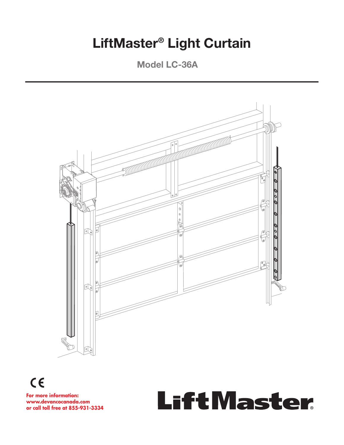# **LiftMaster® Light Curtain**

**Model LC-36A**



 $C \in$ 

**For more information:** www.devancocanada.com **or call toll free at 855-931-3334** 

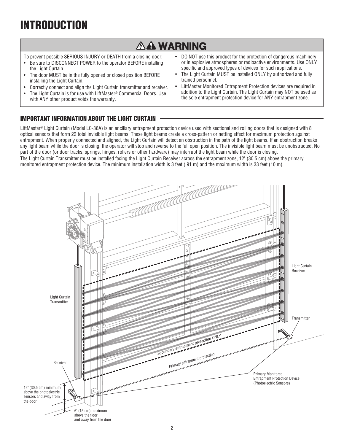# **INTRODUCTION**

## **AA WARNING**

To prevent possible SERIOUS INJURY or DEATH from a closing door:

- Be sure to DISCONNECT POWER to the operator BEFORE installing the Light Curtain.
- The door MUST be in the fully opened or closed position BEFORE installing the Light Curtain.
- Correctly connect and align the Light Curtain transmitter and receiver.
- The Light Curtain is for use with LiftMaster® Commercial Doors. Use with ANY other product voids the warranty.
- DO NOT use this product for the protection of dangerous machinery or in explosive atmospheres or radioactive environments. Use ONLY specific and approved types of devices for such applications.
- The Light Curtain MUST be installed ONLY by authorized and fully trained personnel.
- LiftMaster Monitored Entrapment Protection devices are required in addition to the Light Curtain. The Light Curtain may NOT be used as the sole entrapment protection device for ANY entrapment zone.

## **IMPORTANT INFORMATION ABOUT THE LIGHT CURTAIN**

LiftMaster® Light Curtain (Model LC-36A) is an ancillary entrapment protection device used with sectional and rolling doors that is designed with 8 optical sensors that form 22 total invisible light beams. These light beams create a cross-pattern or netting effect for maximum protection against entrapment. When properly connected and aligned, the Light Curtain will detect an obstruction in the path of the light beams. If an obstruction breaks any light beam while the door is closing, the operator will stop and reverse to the full open position. The invisible light beam must be unobstructed. No part of the door (or door tracks, springs, hinges, rollers or other hardware) may interrupt the light beam while the door is closing. The Light Curtain Transmitter must be installed facing the Light Curtain Receiver across the entrapment zone, 12" (30.5 cm) above the primary monitored entrapment protection device. The minimum installation width is 3 feet (.91 m) and the maximum width is 33 feet (10 m).

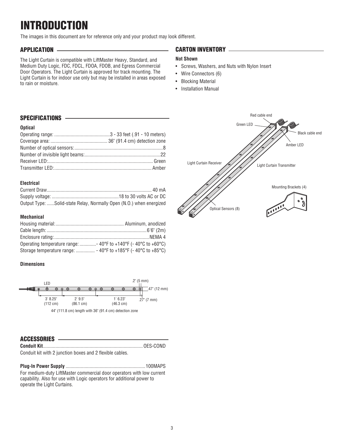# **INTRODUCTION**

The images in this document are for reference only and your product may look different.

## **APPLICATION**

The Light Curtain is compatible with LiftMaster Heavy, Standard, and Medium Duty Logic, FDC, FDCL, FDOA, FDOB, and Egress Commercial Door Operators. The Light Curtain is approved for track mounting. The Light Curtain is for indoor use only but may be installed in areas exposed to rain or moisture.

## **CARTON INVENTORY**

### **Not Shown**

- Screws, Washers, and Nuts with Nylon Insert
- Wire Connectors (6)
- Blocking Material
- Installation Manual

### **SPECIFICATIONS**

#### **Optical**

### **Electrical**

| Output Type: Solid-state Relay, Normally Open (N.O.) when energized |  |
|---------------------------------------------------------------------|--|

#### **Mechanical**

| Operating temperature range:  - 40°F to +140°F (-40°C to +60°C) |  |
|-----------------------------------------------------------------|--|
|                                                                 |  |

### **Dimensions**



### **ACCESSORIES**

| Conduit kit with 2 junction boxes and 2 flexible cables. |  |
|----------------------------------------------------------|--|

**Plug-In Power Supply** ...............................................................100MAPS For medium-duty LiftMaster commercial door operators with low current capability. Also for use with Logic operators for additional power to operate the Light Curtains.

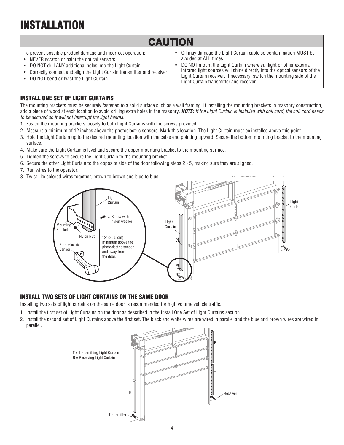# **INSTALLATION**

## **CAUTION**

- To prevent possible product damage and incorrect operation:
- NEVER scratch or paint the optical sensors.
- DO NOT drill ANY additional holes into the Light Curtain.
- Correctly connect and align the Light Curtain transmitter and receiver.
- DO NOT bend or twist the Light Curtain.
- Oil may damage the Light Curtain cable so contamination MUST be avoided at ALL times.
- DO NOT mount the Light Curtain where sunlight or other external infrared light sources will shine directly into the optical sensors of the Light Curtain receiver. If necessary, switch the mounting side of the Light Curtain transmitter and receiver.

## **INSTALL ONE SET OF LIGHT CURTAINS**

The mounting brackets must be securely fastened to a solid surface such as a wall framing. If installing the mounting brackets in masonry construction, add a piece of wood at each location to avoid drilling extra holes in the masonry. *NOTE:* If the Light Curtain is installed with coil cord, the coil cord needs to be secured so it will not interrupt the light beams.

- 1. Fasten the mounting brackets loosely to both Light Curtains with the screws provided.
- 2. Measure a minimum of 12 inches above the photoelectric sensors. Mark this location. The Light Curtain must be installed above this point.
- 3. Hold the Light Curtain up to the desired mounting location with the cable end pointing upward. Secure the bottom mounting bracket to the mounting surface.
- 4. Make sure the Light Curtain is level and secure the upper mounting bracket to the mounting surface.
- 5. Tighten the screws to secure the Light Curtain to the mounting bracket.
- 6. Secure the other Light Curtain to the opposite side of the door following steps 2 5, making sure they are aligned.
- 7. Run wires to the operator.
- 8. Twist like colored wires together, brown to brown and blue to blue.



### **INSTALL TWO SETS OF LIGHT CURTAINS ON THE SAME DOOR**

Installing two sets of light curtains on the same door is recommended for high volume vehicle traffic.

- 1. Install the first set of Light Curtains on the door as described in the Install One Set of Light Curtains section.
- 2. Install the second set of Light Curtains above the first set. The black and white wires are wired in parallel and the blue and brown wires are wired in parallel.

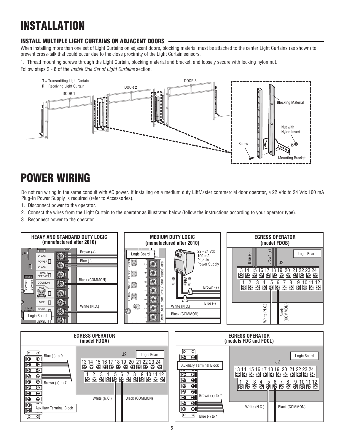# **INSTALLATION**

## **INSTALL MULTIPLE LIGHT CURTAINS ON ADJACENT DOORS**

When installing more than one set of Light Curtains on adjacent doors, blocking material must be attached to the center Light Curtains (as shown) to prevent cross-talk that could occur due to the close proximity of the Light Curtain sensors.

1. Thread mounting screws through the Light Curtain, blocking material and bracket, and loosely secure with locking nylon nut. Follow steps 2 - 8 of the *Install One Set of Light Curtains* section.



# **POWER WIRING**

Do not run wiring in the same conduit with AC power. If installing on a medium duty LiftMaster commercial door operator, a 22 Vdc to 24 Vdc 100 mA Plug-In Power Supply is required (refer to Accessories).

- 1. Disconnect power to the operator.
- 2. Connect the wires from the Light Curtain to the operator as illustrated below (follow the instructions according to your operator type).
- 3. Reconnect power to the operator.



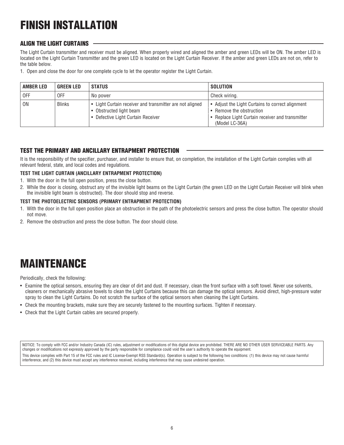# **FINISH INSTALLATION**

## **ALIGN THE LIGHT CURTAINS**

The Light Curtain transmitter and receiver must be aligned. When properly wired and aligned the amber and green LEDs will be ON. The amber LED is located on the Light Curtain Transmitter and the green LED is located on the Light Curtain Receiver. If the amber and green LEDs are not on, refer to the table below.

1. Open and close the door for one complete cycle to let the operator register the Light Curtain.

| AMBER LED      | <b>GREEN LED</b> | <b>STATUS</b>                                                                                                             | SOLUTION                                                                                                                                           |
|----------------|------------------|---------------------------------------------------------------------------------------------------------------------------|----------------------------------------------------------------------------------------------------------------------------------------------------|
| <b>OFF</b>     | 0FF              | No power                                                                                                                  | Check wiring.                                                                                                                                      |
| 0 <sub>N</sub> | <b>Blinks</b>    | • Light Curtain receiver and transmitter are not aligned<br>• Obstructed light beam<br>• Defective Light Curtain Receiver | • Adjust the Light Curtains to correct alignment<br>• Remove the obstruction<br>• Replace Light Curtain receiver and transmitter<br>(Model LC-36A) |

## **TEST THE PRIMARY AND ANCILLARY ENTRAPMENT PROTECTION**

It is the responsibility of the specifier, purchaser, and installer to ensure that, on completion, the installation of the Light Curtain complies with all relevant federal, state, and local codes and regulations.

### **TEST THE LIGHT CURTAIN (ANCILLARY ENTRAPMENT PROTECTION)**

- 1. With the door in the full open position, press the close button.
- 2. While the door is closing, obstruct any of the invisible light beams on the Light Curtain (the green LED on the Light Curtain Receiver will blink when the invisible light beam is obstructed). The door should stop and reverse.

### **TEST THE PHOTOELECTRIC SENSORS (PRIMARY ENTRAPMENT PROTECTION)**

- 1. With the door in the full open position place an obstruction in the path of the photoelectric sensors and press the close button. The operator should not move.
- 2. Remove the obstruction and press the close button. The door should close.

# **MAINTENANCE**

Periodically, check the following:

- Examine the optical sensors, ensuring they are clear of dirt and dust. If necessary, clean the front surface with a soft towel. Never use solvents, cleaners or mechanically abrasive towels to clean the Light Curtains because this can damage the optical sensors. Avoid direct, high-pressure water spray to clean the Light Curtains. Do not scratch the surface of the optical sensors when cleaning the Light Curtains.
- Check the mounting brackets, make sure they are securely fastened to the mounting surfaces. Tighten if necessary.
- Check that the Light Curtain cables are secured properly.

NOTICE: To comply with FCC and/or Industry Canada (IC) rules, adjustment or modifications of this digital device are prohibited. THERE ARE NO OTHER USER SERVICEABLE PARTS. Any changes or modifications not expressly approved by the party responsible for compliance could void the user's authority to operate the equipment.

This device complies with Part 15 of the FCC rules and IC License-Exempt RSS Standard(s). Operation is subject to the following two conditions: (1) this device may not cause harmful interference, and (2) this device must accept any interference received, including interference that may cause undesired operation.